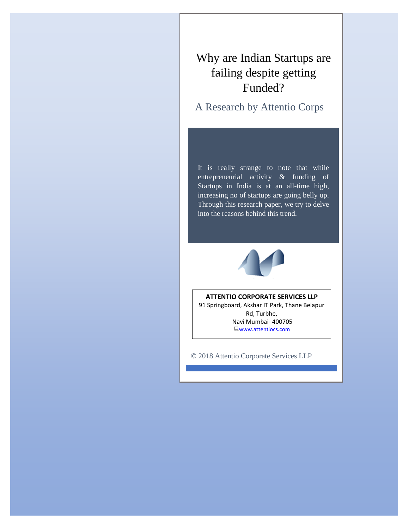# Why are Indian Startups are failing despite getting Funded?

A Research by Attentio Corps

It is really strange to note that while entrepreneurial activity & funding of Startups in India is at an all-time high, increasing no of startups are going belly up. Through this research paper, we try to delve into the reasons behind this trend.



### **ATTENTIO CORPORATE SERVICES LLP**

91 Springboard, Akshar IT Park, Thane Belapur Rd, Turbhe, Navi Mumbai- 400705 [www.attentiocs.com](http://www.attentiocs.com/)

© 2018 Attentio Corporate Services LLP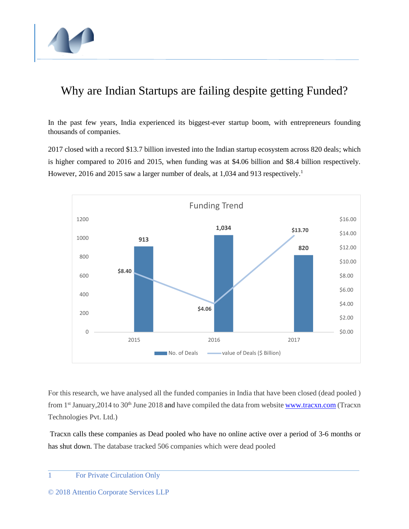

# Why are Indian Startups are failing despite getting Funded?

In the past few years, India experienced its biggest-ever startup boom, with entrepreneurs founding thousands of companies.

2017 closed with a record \$13.7 billion invested into the Indian startup ecosystem across 820 deals; which is higher compared to 2016 and 2015, when funding was at \$4.06 billion and \$8.4 billion respectively. However, [2016](https://yourstory.com/2016/12/indian-startups-funding-report/) and [2015](https://yourstory.com/2015/12/indian-startups-raise-9billion-2015/) saw a larger number of deals, at 1,034 and 913 respectively.<sup>1</sup>



For this research, we have analysed all the funded companies in India that have been closed (dead pooled ) from 1<sup>st</sup> January, 2014 to 30<sup>th</sup> June 2018 and have compiled the data from website [www.tracxn.com](http://www.tracxn.com/) (Tracxn Technologies Pvt. Ltd.)

Tracxn calls these companies as Dead pooled who have no online active over a period of 3-6 months or has shut down. The database tracked 506 companies which were dead pooled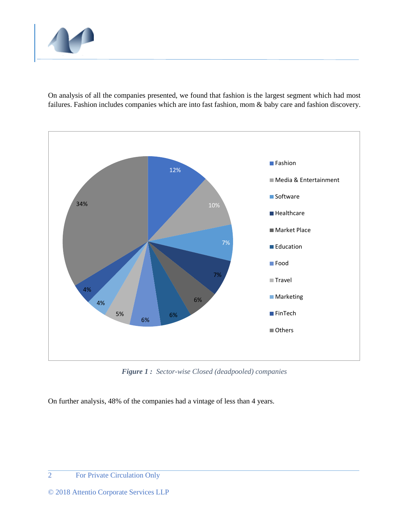

On analysis of all the companies presented, we found that fashion is the largest segment which had most failures. Fashion includes companies which are into fast fashion, mom & baby care and fashion discovery.



*Figure 1 : Sector-wise Closed (deadpooled) companies*

On further analysis, 48% of the companies had a vintage of less than 4 years.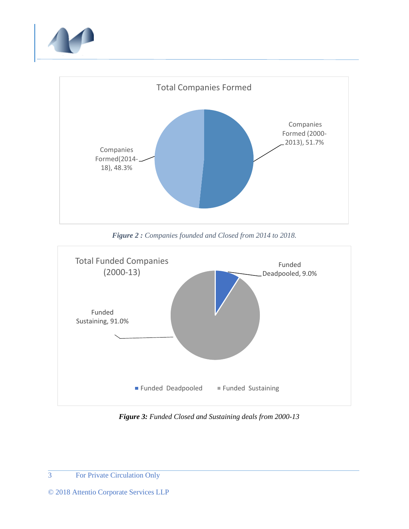



*Figure 2 : Companies founded and Closed from 2014 to 2018.* 



*Figure 3: Funded Closed and Sustaining deals from 2000-13*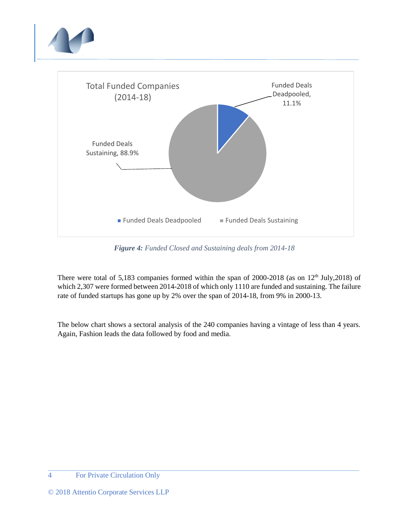

*Figure 4: Funded Closed and Sustaining deals from 2014-18*

There were total of 5,183 companies formed within the span of 2000-2018 (as on 12<sup>th</sup> July,2018) of which 2,307 were formed between 2014-2018 of which only 1110 are funded and sustaining. The failure rate of funded startups has gone up by 2% over the span of 2014-18, from 9% in 2000-13.

The below chart shows a sectoral analysis of the 240 companies having a vintage of less than 4 years. Again, Fashion leads the data followed by food and media.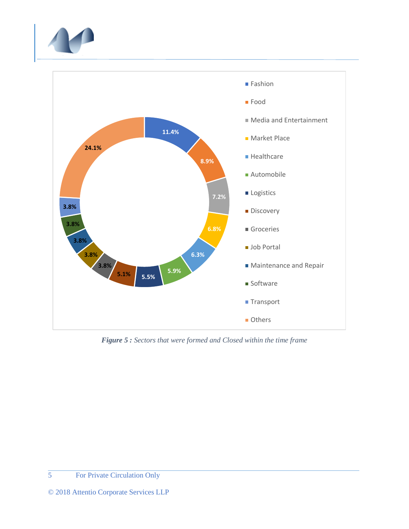



*Figure 5 : Sectors that were formed and Closed within the time frame*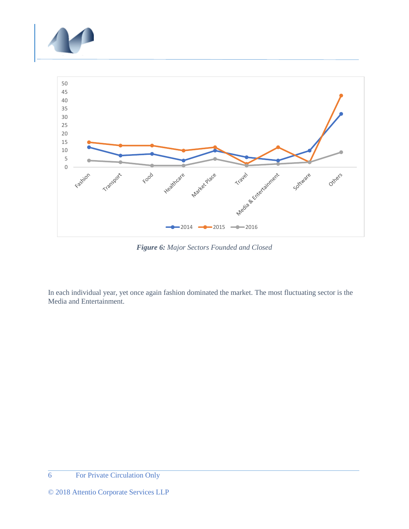



*Figure 6: Major Sectors Founded and Closed*

In each individual year, yet once again fashion dominated the market. The most fluctuating sector is the Media and Entertainment.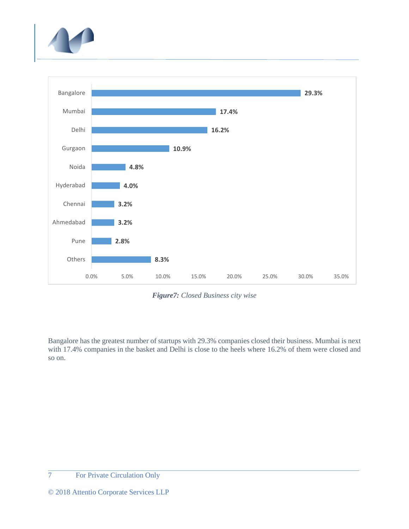



*Figure7: Closed Business city wise*

Bangalore has the greatest number of startups with 29.3% companies closed their business. Mumbai is next with 17.4% companies in the basket and Delhi is close to the heels where 16.2% of them were closed and so on.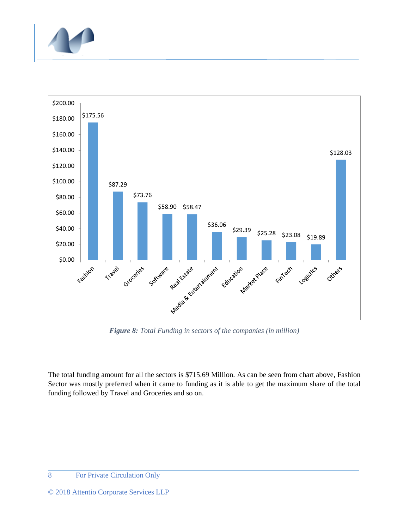



*Figure 8: Total Funding in sectors of the companies (in million)*

The total funding amount for all the sectors is \$715.69 Million. As can be seen from chart above, Fashion Sector was mostly preferred when it came to funding as it is able to get the maximum share of the total funding followed by Travel and Groceries and so on.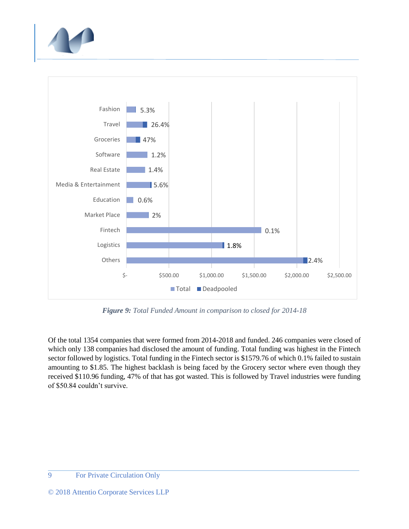



*Figure 9: Total Funded Amount in comparison to closed for 2014-18*

Of the total 1354 companies that were formed from 2014-2018 and funded. 246 companies were closed of which only 138 companies had disclosed the amount of funding. Total funding was highest in the Fintech sector followed by logistics. Total funding in the Fintech sector is \$1579.76 of which 0.1% failed to sustain amounting to \$1.85. The highest backlash is being faced by the Grocery sector where even though they received \$110.96 funding, 47% of that has got wasted. This is followed by Travel industries were funding of \$50.84 couldn't survive.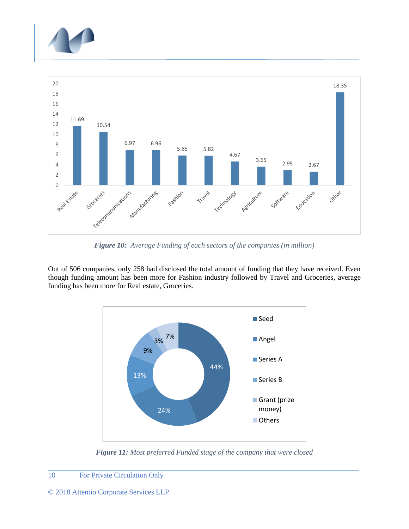



*Figure 10: Average Funding of each sectors of the companies (in million)*

Out of 506 companies, only 258 had disclosed the total amount of funding that they have received. Even though funding amount has been more for Fashion industry followed by Travel and Groceries, average funding has been more for Real estate, Groceries.



*Figure 11: Most preferred Funded stage of the company that were closed*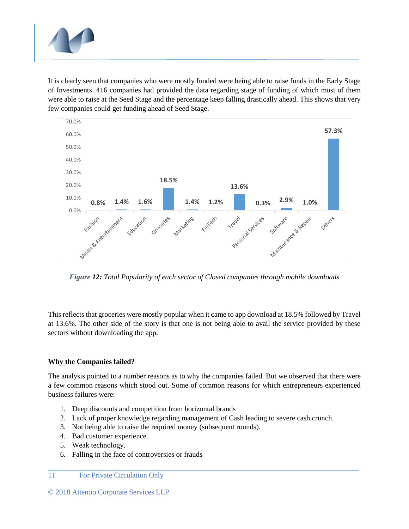

It is clearly seen that companies who were mostly funded were being able to raise funds in the Early Stage of Investments. 416 companies had provided the data regarding stage of funding of which most of them were able to raise at the Seed Stage and the percentage keep falling drastically ahead. This shows that very few companies could get funding ahead of Seed Stage.



*Figure 12: Total Popularity of each sector of Closed companies through mobile downloads*

This reflects that groceries were mostly popular when it came to app download at 18.5% followed by Travel at 13.6%. The other side of the story is that one is not being able to avail the service provided by these sectors without downloading the app.

## **Why the Companies failed?**

The analysis pointed to a number reasons as to why the companies failed. But we observed that there were a few common reasons which stood out. Some of common reasons for which entrepreneurs experienced business failures were:

- 1. Deep discounts and competition from horizontal brands
- 2. Lack of proper knowledge regarding management of Cash leading to severe cash crunch.
- 3. Not being able to raise the required money (subsequent rounds).
- 4. Bad customer experience.
- 5. Weak technology.
- 6. Falling in the face of controversies or frauds

#### 11 For Private Circulation Only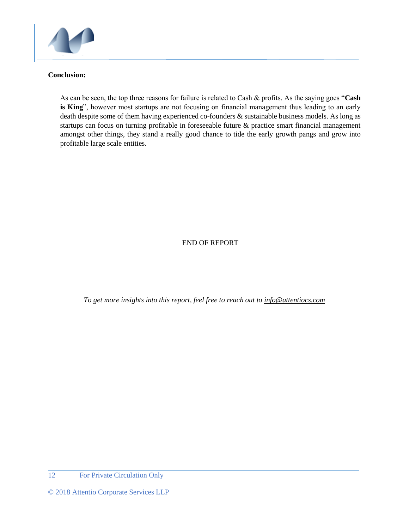

### **Conclusion:**

As can be seen, the top three reasons for failure is related to Cash & profits. As the saying goes "**Cash is King**", however most startups are not focusing on financial management thus leading to an early death despite some of them having experienced co-founders & sustainable business models. As long as startups can focus on turning profitable in foreseeable future & practice smart financial management amongst other things, they stand a really good chance to tide the early growth pangs and grow into profitable large scale entities.

## END OF REPORT

*To get more insights into this report, feel free to reach out to [info@attentiocs.com](mailto:info@attentiocs.com)*